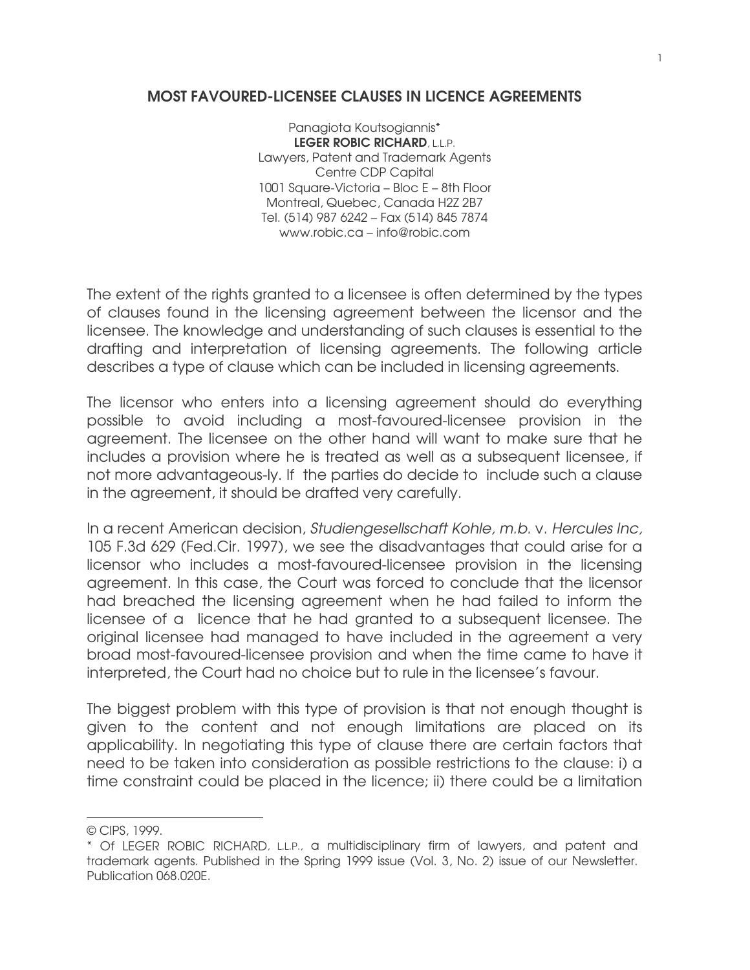## MOST FAVOURED-LICENSEE CLAUSES IN LICENCE AGREEMENTS

Panagiota Koutsogiannis\* LEGER ROBIC RICHARD, L.L.P. Lawyers, Patent and Trademark Agents Centre CDP Capital 1001 Square-Victoria – Bloc E – 8th Floor Montreal, Quebec, Canada H2Z 2B7 Tel. (514) 987 6242 – Fax (514) 845 7874 www.robic.ca – info@robic.com

The extent of the rights granted to a licensee is often determined by the types of clauses found in the licensing agreement between the licensor and the licensee. The knowledge and understanding of such clauses is essential to the drafting and interpretation of licensing agreements. The following article describes a type of clause which can be included in licensing agreements.

The licensor who enters into a licensing agreement should do everything possible to avoid including a most-favoured-licensee provision in the agreement. The licensee on the other hand will want to make sure that he includes a provision where he is treated as well as a subsequent licensee, if not more advantageous-ly. If the parties do decide to include such a clause in the agreement, it should be drafted very carefully.

In a recent American decision, Studiengesellschaft Kohle, m.b. v. Hercules Inc, 105 F.3d 629 (Fed.Cir. 1997), we see the disadvantages that could arise for a licensor who includes a most-favoured-licensee provision in the licensing agreement. In this case, the Court was forced to conclude that the licensor had breached the licensing agreement when he had failed to inform the licensee of a licence that he had granted to a subsequent licensee. The original licensee had managed to have included in the agreement a very broad most-favoured-licensee provision and when the time came to have it interpreted, the Court had no choice but to rule in the licensee's favour.

The biggest problem with this type of provision is that not enough thought is given to the content and not enough limitations are placed on its applicability. In negotiating this type of clause there are certain factors that need to be taken into consideration as possible restrictions to the clause: i) a time constraint could be placed in the licence; ii) there could be a limitation

<u> 1989 - Johann Barn, mars ann an t-Amhair an t-A</u>

<sup>©</sup> CIPS, 1999.

<sup>\*</sup> Of LEGER ROBIC RICHARD, L.L.P., a multidisciplinary firm of lawyers, and patent and trademark agents. Published in the Spring 1999 issue (Vol. 3, No. 2) issue of our Newsletter. Publication 068.020E.